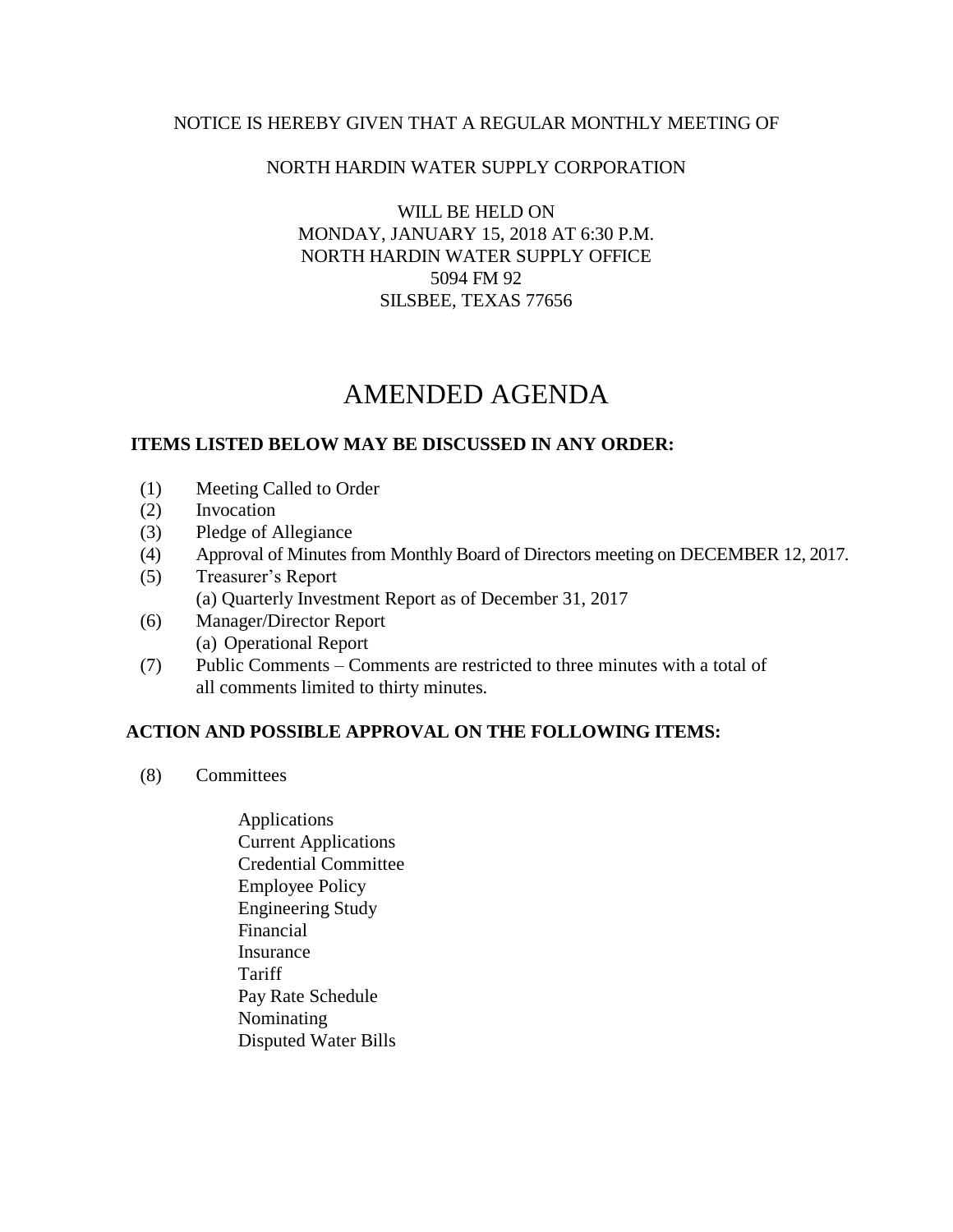## NOTICE IS HEREBY GIVEN THAT A REGULAR MONTHLY MEETING OF

### NORTH HARDIN WATER SUPPLY CORPORATION

WILL BE HELD ON MONDAY, JANUARY 15, 2018 AT 6:30 P.M. NORTH HARDIN WATER SUPPLY OFFICE 5094 FM 92 SILSBEE, TEXAS 77656

# AMENDED AGENDA

#### **ITEMS LISTED BELOW MAY BE DISCUSSED IN ANY ORDER:**

- (1) Meeting Called to Order
- (2) Invocation
- (3) Pledge of Allegiance
- (4) Approval of Minutes from Monthly Board of Directors meeting on DECEMBER 12, 2017.
- (5) Treasurer's Report (a) Quarterly Investment Report as of December 31, 2017
- (6) Manager/Director Report (a) Operational Report
- (7) Public Comments Comments are restricted to three minutes with a total of all comments limited to thirty minutes.

## **ACTION AND POSSIBLE APPROVAL ON THE FOLLOWING ITEMS:**

- (8) Committees
	- Applications Current Applications Credential Committee Employee Policy Engineering Study Financial Insurance Tariff Pay Rate Schedule Nominating Disputed Water Bills